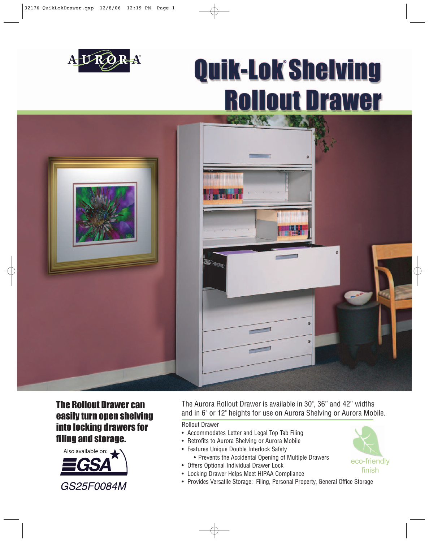

## **Quik-Lok Shelving Rollout Drawer**



## The Rollout Drawer can easily turn open shelving into locking drawers for filing and storage.



The Aurora Rollout Drawer is available in 30", 36" and 42" widths and in 6" or 12" heights for use on Aurora Shelving or Aurora Mobile.

Rollout Drawer

- Accommodates Letter and Legal Top Tab Filing
- Retrofits to Aurora Shelving or Aurora Mobile
- Features Unique Double Interlock Safety • Prevents the Accidental Opening of Multiple Drawers
- Offers Optional Individual Drawer Lock
- Locking Drawer Helps Meet HIPAA Compliance
- Provides Versatile Storage: Filing, Personal Property, General Office Storage